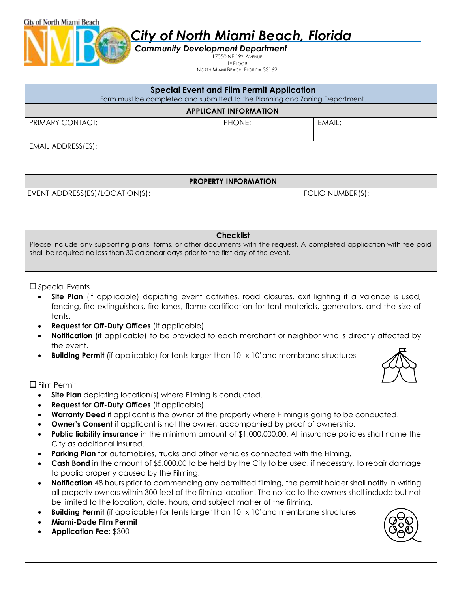*Community Development Department*

City of North Miami Beach

17050 NE 19<sup>™</sup> AVENUE 1 ST FLOOR

NORTH MIAMI BEACH, FLORIDA 33162

| <b>Special Event and Film Permit Application</b><br>Form must be completed and submitted to the Planning and Zoning Department.                                                                                                                                                                                                                                                                                                                                                                                                                                                                                                                                                                                                                                                                                                                                                                                                                                                                                                                                                                                                                                                                                                                                            |                              |                  |  |
|----------------------------------------------------------------------------------------------------------------------------------------------------------------------------------------------------------------------------------------------------------------------------------------------------------------------------------------------------------------------------------------------------------------------------------------------------------------------------------------------------------------------------------------------------------------------------------------------------------------------------------------------------------------------------------------------------------------------------------------------------------------------------------------------------------------------------------------------------------------------------------------------------------------------------------------------------------------------------------------------------------------------------------------------------------------------------------------------------------------------------------------------------------------------------------------------------------------------------------------------------------------------------|------------------------------|------------------|--|
|                                                                                                                                                                                                                                                                                                                                                                                                                                                                                                                                                                                                                                                                                                                                                                                                                                                                                                                                                                                                                                                                                                                                                                                                                                                                            | <b>APPLICANT INFORMATION</b> |                  |  |
| PRIMARY CONTACT:                                                                                                                                                                                                                                                                                                                                                                                                                                                                                                                                                                                                                                                                                                                                                                                                                                                                                                                                                                                                                                                                                                                                                                                                                                                           | PHONE:                       | EMAIL:           |  |
| EMAIL ADDRESS(ES):                                                                                                                                                                                                                                                                                                                                                                                                                                                                                                                                                                                                                                                                                                                                                                                                                                                                                                                                                                                                                                                                                                                                                                                                                                                         |                              |                  |  |
|                                                                                                                                                                                                                                                                                                                                                                                                                                                                                                                                                                                                                                                                                                                                                                                                                                                                                                                                                                                                                                                                                                                                                                                                                                                                            | <b>PROPERTY INFORMATION</b>  |                  |  |
| EVENT ADDRESS(ES)/LOCATION(S):                                                                                                                                                                                                                                                                                                                                                                                                                                                                                                                                                                                                                                                                                                                                                                                                                                                                                                                                                                                                                                                                                                                                                                                                                                             |                              | FOLIO NUMBER(S): |  |
|                                                                                                                                                                                                                                                                                                                                                                                                                                                                                                                                                                                                                                                                                                                                                                                                                                                                                                                                                                                                                                                                                                                                                                                                                                                                            | <b>Checklist</b>             |                  |  |
| Please include any supporting plans, forms, or other documents with the request. A completed application with fee paid<br>shall be required no less than 30 calendar days prior to the first day of the event.                                                                                                                                                                                                                                                                                                                                                                                                                                                                                                                                                                                                                                                                                                                                                                                                                                                                                                                                                                                                                                                             |                              |                  |  |
| $\square$ Special Events<br>Site Plan (if applicable) depicting event activities, road closures, exit lighting if a valance is used,<br>fencing, fire extinguishers, fire lanes, flame certification for tent materials, generators, and the size of<br>tents.<br><b>Request for Off-Duty Offices</b> (if applicable)<br>Notification (if applicable) to be provided to each merchant or neighbor who is directly affected by<br>the event.<br><b>Building Permit</b> (if applicable) for tents larger than 10' x 10' and membrane structures<br>$\Box$ Film Permit                                                                                                                                                                                                                                                                                                                                                                                                                                                                                                                                                                                                                                                                                                        |                              |                  |  |
| <b>Site Plan</b> depicting location(s) where Filming is conducted.<br>Request for Off-Duty Offices (if applicable)<br><b>Warranty Deed</b> if applicant is the owner of the property where Filming is going to be conducted.<br><b>Owner's Consent</b> if applicant is not the owner, accompanied by proof of ownership.<br>$\bullet$<br>Public liability insurance in the minimum amount of \$1,000,000.00. All insurance policies shall name the<br>$\bullet$<br>City as additional insured.<br>Parking Plan for automobiles, trucks and other vehicles connected with the Filming.<br>$\bullet$<br>Cash Bond in the amount of \$5,000.00 to be held by the City to be used, if necessary, to repair damage<br>$\bullet$<br>to public property caused by the Filming.<br>Notification 48 hours prior to commencing any permitted filming, the permit holder shall notify in writing<br>$\bullet$<br>all property owners within 300 feet of the filming location. The notice to the owners shall include but not<br>be limited to the location, date, hours, and subject matter of the filming.<br><b>Building Permit</b> (if applicable) for tents larger than 10' x 10' and membrane structures<br>$\bullet$<br>Miami-Dade Film Permit<br><b>Application Fee: \$300</b> |                              |                  |  |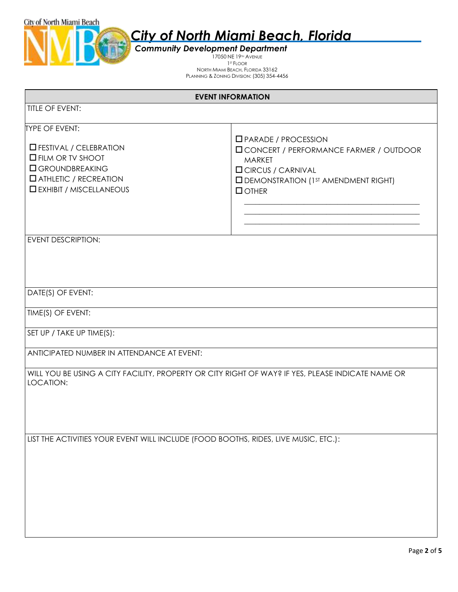

*Community Development Department* 17050 NE 19<sup>™</sup> AVENUE 1 ST FLOOR NORTH MIAMI BEACH, FLORIDA 33162 PLANNING & ZONING DIVISION: (305) 354-4456

| <b>EVENT INFORMATION</b>                                                                                                                                                             |                                                                                                                                                                                             |  |
|--------------------------------------------------------------------------------------------------------------------------------------------------------------------------------------|---------------------------------------------------------------------------------------------------------------------------------------------------------------------------------------------|--|
| <b>TITLE OF EVENT:</b>                                                                                                                                                               |                                                                                                                                                                                             |  |
| <b>TYPE OF EVENT:</b><br>$\Box$ FESTIVAL / CELEBRATION<br><b>O FILM OR TV SHOOT</b><br><b>O</b> GROUNDBREAKING<br><b>LATHLETIC / RECREATION</b><br><b>ID EXHIBIT / MISCELLANEOUS</b> | $\Box$ PARADE / PROCESSION<br><b>I CONCERT / PERFORMANCE FARMER / OUTDOOR</b><br><b>MARKET</b><br><b>OCIRCUS / CARNIVAL</b><br><b>O DEMONSTRATION (1ST AMENDMENT RIGHT)</b><br>$\Box$ OTHER |  |
| EVENT DESCRIPTION:                                                                                                                                                                   |                                                                                                                                                                                             |  |
| DATE(S) OF EVENT:                                                                                                                                                                    |                                                                                                                                                                                             |  |
| TIME(S) OF EVENT:                                                                                                                                                                    |                                                                                                                                                                                             |  |
| SET UP / TAKE UP TIME(S):                                                                                                                                                            |                                                                                                                                                                                             |  |
| ANTICIPATED NUMBER IN ATTENDANCE AT EVENT:                                                                                                                                           |                                                                                                                                                                                             |  |
| WILL YOU BE USING A CITY FACILITY, PROPERTY OR CITY RIGHT OF WAY? IF YES, PLEASE INDICATE NAME OR<br>LOCATION:                                                                       |                                                                                                                                                                                             |  |
| LIST THE ACTIVITIES YOUR EVENT WILL INCLUDE (FOOD BOOTHS, RIDES, LIVE MUSIC, ETC.):                                                                                                  |                                                                                                                                                                                             |  |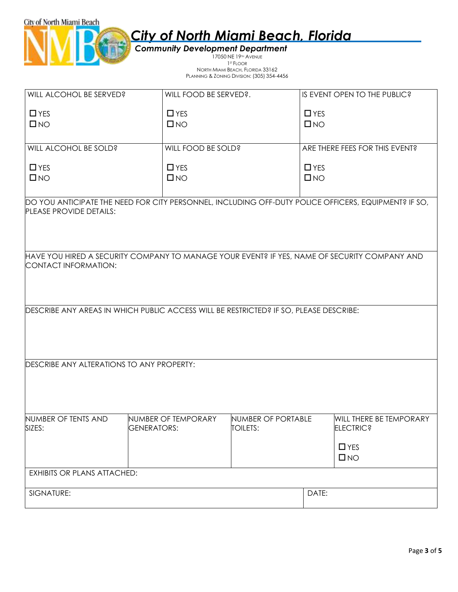|  |  | <b>City of North Miami Beach, Florida</b> |  |
|--|--|-------------------------------------------|--|
|  |  |                                           |  |

*Community Development Department* 17050 NE 19<sup>™</sup> AVENUE 1 ST FLOOR NORTH MIAMI BEACH, FLORIDA 33162

City of North Miami Beach

| TYONII IYIMIN BEASH, LEONDA OO FOZ                    |  |
|-------------------------------------------------------|--|
| <b>PLANNING &amp; ZONING DIVISION: (305) 354-4456</b> |  |

| WILL ALCOHOL BE SERVED?                   | WILL FOOD BE SERVED?.                                                                                | IS EVENT OPEN TO THE PUBLIC?   |  |
|-------------------------------------------|------------------------------------------------------------------------------------------------------|--------------------------------|--|
| $\Box$ YES                                | $\Box$ YES                                                                                           | $\Box$ YES                     |  |
| $\square$ NO                              | $\square$ NO                                                                                         | $\square$ NO                   |  |
|                                           |                                                                                                      |                                |  |
|                                           |                                                                                                      |                                |  |
| WILL ALCOHOL BE SOLD?                     | WILL FOOD BE SOLD?                                                                                   | ARE THERE FEES FOR THIS EVENT? |  |
| $\Box$ YES                                | $\Box$ YES                                                                                           | $\Box$ YES                     |  |
| $\square$ NO                              | $\square$ NO                                                                                         | $\square$ NO                   |  |
|                                           |                                                                                                      |                                |  |
|                                           | DO YOU ANTICIPATE THE NEED FOR CITY PERSONNEL, INCLUDING OFF-DUTY POLICE OFFICERS, EQUIPMENT? IF SO, |                                |  |
| PLEASE PROVIDE DETAILS:                   |                                                                                                      |                                |  |
|                                           |                                                                                                      |                                |  |
|                                           |                                                                                                      |                                |  |
|                                           |                                                                                                      |                                |  |
|                                           | HAVE YOU HIRED A SECURITY COMPANY TO MANAGE YOUR EVENT? IF YES, NAME OF SECURITY COMPANY AND         |                                |  |
| CONTACT INFORMATION:                      |                                                                                                      |                                |  |
|                                           |                                                                                                      |                                |  |
|                                           |                                                                                                      |                                |  |
|                                           |                                                                                                      |                                |  |
|                                           | DESCRIBE ANY AREAS IN WHICH PUBLIC ACCESS WILL BE RESTRICTED? IF SO, PLEASE DESCRIBE:                |                                |  |
|                                           |                                                                                                      |                                |  |
|                                           |                                                                                                      |                                |  |
|                                           |                                                                                                      |                                |  |
|                                           |                                                                                                      |                                |  |
| DESCRIBE ANY ALTERATIONS TO ANY PROPERTY: |                                                                                                      |                                |  |
|                                           |                                                                                                      |                                |  |
|                                           |                                                                                                      |                                |  |
|                                           |                                                                                                      |                                |  |
| NUMBER OF TENTS AND                       | NUMBER OF PORTABLE<br>NUMBER OF TEMPORARY                                                            | WILL THERE BE TEMPORARY        |  |
| SIZES:<br>GENERATORS:                     | <b>TOILETS:</b>                                                                                      | <b>ELECTRIC?</b>               |  |
|                                           |                                                                                                      |                                |  |
|                                           |                                                                                                      | $\Box$ YES                     |  |
|                                           |                                                                                                      | $\square$ NO                   |  |
| <b>EXHIBITS OR PLANS ATTACHED:</b>        |                                                                                                      |                                |  |
|                                           |                                                                                                      |                                |  |
| SIGNATURE:                                |                                                                                                      |                                |  |
|                                           |                                                                                                      | DATE:                          |  |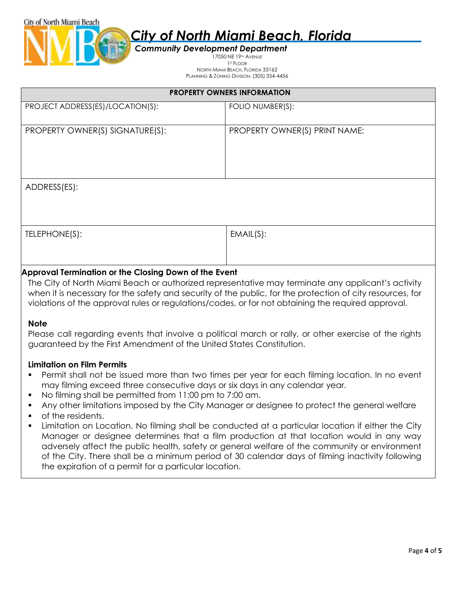

#### *Community Development Department* 17050 NE 19<sup>TH</sup> AVENUE 1 ST FLOOR NORTH MIAMI BEACH, FLORIDA 33162 PLANNING & ZONING DIVISION: (305) 354-4456

| <b>PROPERTY OWNERS INFORMATION</b>                    |                                                                                                                                                                                                                |  |
|-------------------------------------------------------|----------------------------------------------------------------------------------------------------------------------------------------------------------------------------------------------------------------|--|
| PROJECT ADDRESS(ES)/LOCATION(S):                      | FOLIO NUMBER(S):                                                                                                                                                                                               |  |
| PROPERTY OWNER(S) SIGNATURE(S):                       | PROPERTY OWNER(S) PRINT NAME:                                                                                                                                                                                  |  |
| ADDRESS(ES):                                          |                                                                                                                                                                                                                |  |
| TELEPHONE(S):                                         | EMAIL(S):                                                                                                                                                                                                      |  |
| Approval Termination or the Closing Down of the Event | The City of North Miami Beach or authorized representative may terminate any applicant's activity<br>when it is necessary for the safety and security of the public, for the protection of city resources, for |  |

violations of the approval rules or regulations/codes, or for not obtaining the required approval.

### **Note**

Please call regarding events that involve a political march or rally, or other exercise of the rights guaranteed by the First Amendment of the United States Constitution.

### **Limitation on Film Permits**

- Permit shall not be issued more than two times per year for each filming location. In no event may filming exceed three consecutive days or six days in any calendar year.
- No filming shall be permitted from 11:00 pm to 7:00 am.
- Any other limitations imposed by the City Manager or designee to protect the general welfare
- of the residents.
- Limitation on Location. No filming shall be conducted at a particular location if either the City Manager or designee determines that a film production at that location would in any way adversely affect the public health, safety or general welfare of the community or environment of the City. There shall be a minimum period of 30 calendar days of filming inactivity following the expiration of a permit for a particular location.